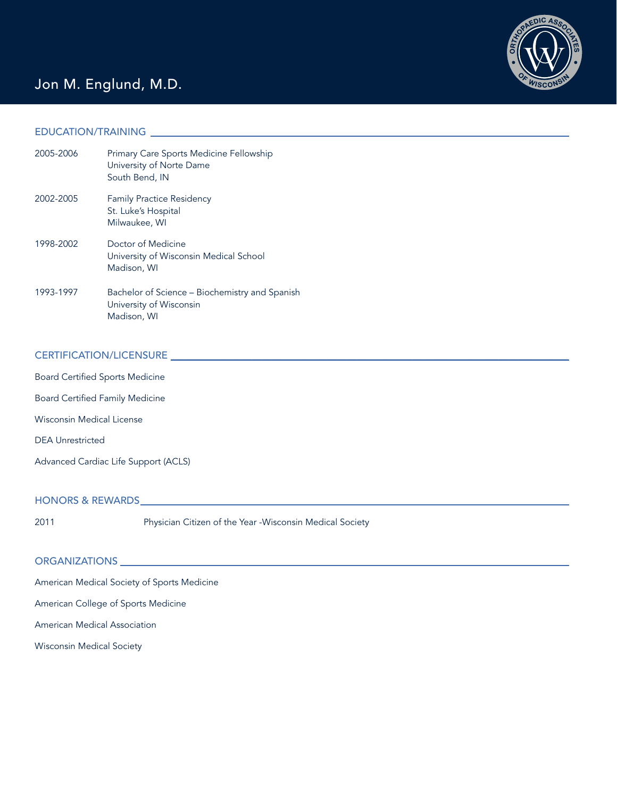

### Jon M. Englund, M.D.

#### EDUCATION/TRAINING \_\_\_\_\_\_\_\_\_\_\_\_\_\_\_\_\_\_\_\_\_\_\_\_\_\_\_\_\_\_\_\_\_\_\_\_\_\_\_\_\_\_\_\_\_\_\_\_\_\_\_\_\_\_\_\_\_\_\_\_\_\_\_\_\_\_\_\_\_\_\_\_\_\_\_\_\_\_\_\_\_\_\_

| 2005-2006 | Primary Care Sports Medicine Fellowship<br>University of Norte Dame<br>South Bend, IN    |
|-----------|------------------------------------------------------------------------------------------|
| 2002-2005 | <b>Family Practice Residency</b><br>St. Luke's Hospital<br>Milwaukee, WI                 |
| 1998-2002 | Doctor of Medicine<br>University of Wisconsin Medical School<br>Madison, WI              |
| 1993-1997 | Bachelor of Science - Biochemistry and Spanish<br>University of Wisconsin<br>Madison, WI |

### CERTIFICATION/LICENSURE \_\_\_\_\_\_\_\_\_\_\_\_\_\_\_\_\_\_\_\_\_\_\_\_\_\_\_\_\_\_\_\_\_\_\_\_\_\_\_\_\_\_\_\_\_\_\_\_\_\_\_\_\_\_\_\_\_\_\_\_\_\_\_\_\_\_\_\_\_\_\_\_\_\_\_\_\_\_\_

Board Certified Sports Medicine Board Certified Family Medicine Wisconsin Medical License DEA Unrestricted Advanced Cardiac Life Support (ACLS)

# HONORS & REWARDS\_\_\_\_\_\_\_\_\_\_\_\_\_\_\_\_\_\_\_\_\_\_\_\_\_\_\_\_\_\_\_\_\_\_\_\_\_\_\_\_\_\_\_\_\_\_\_\_\_\_\_\_\_\_\_\_\_\_\_\_\_\_\_\_\_\_\_\_\_\_\_\_\_\_\_\_\_\_\_\_\_\_\_\_\_

2011 Physician Citizen of the Year -Wisconsin Medical Society

## ORGANIZATIONS \_\_\_\_\_\_\_\_\_\_\_\_\_\_\_\_\_\_\_\_\_\_\_\_\_\_\_\_\_\_\_\_\_\_\_\_\_\_\_\_\_\_\_\_\_\_\_\_\_\_\_\_\_\_\_\_\_\_\_\_\_\_\_\_\_\_\_\_\_\_\_\_\_\_\_\_\_\_\_\_\_\_\_\_\_\_\_\_\_

American Medical Society of Sports Medicine

American College of Sports Medicine

American Medical Association

Wisconsin Medical Society